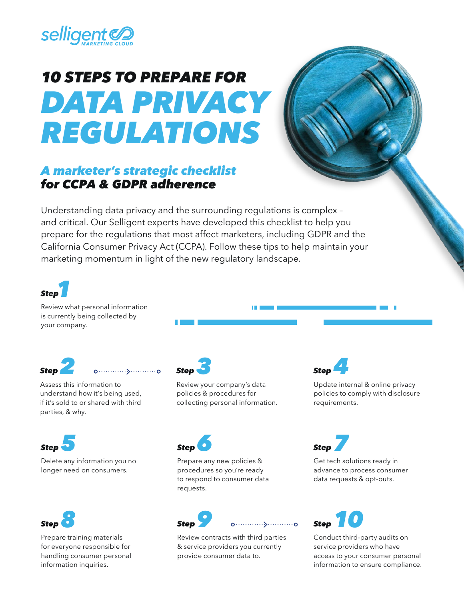

## *10 STEPS TO PREPARE FOR DATA PRIVACY REGULATIONS*

## *A marketer's strategic checklist for CCPA & GDPR adherence*

Understanding data privacy and the surrounding regulations is complex – and critical. Our Selligent experts have developed this checklist to help you prepare for the regulations that most affect marketers, including GDPR and the California Consumer Privacy Act (CCPA). Follow these tips to help maintain your marketing momentum in light of the new regulatory landscape.



Review what personal information is currently being collected by your company.

*Step2*





Delete any information you no longer need on consumers.



Prepare training materials for everyone responsible for handling consumer personal information inquiries.



Review your company's data policies & procedures for collecting personal information.



Prepare any new policies & procedures so you're ready to respond to consumer data requests.



Review contracts with third parties & service providers you currently provide consumer data to.



Update internal & online privacy policies to comply with disclosure requirements.

*Step* Get tech solutions ready in

advance to process consumer data requests & opt-outs.

**Step** Conduct third-party audits on service providers who have access to your consumer personal

information to ensure compliance.